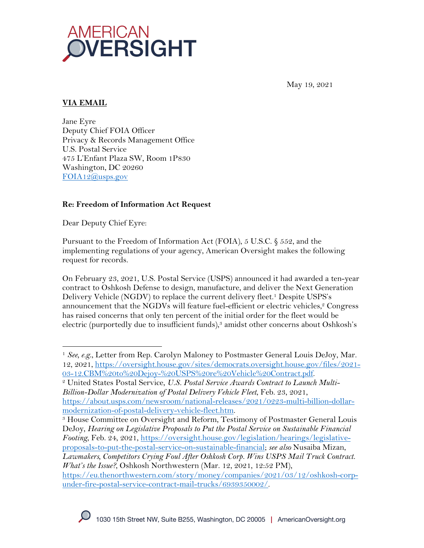

May 19, 2021

# **VIA EMAIL**

Jane Eyre Deputy Chief FOIA Officer Privacy & Records Management Office U.S. Postal Service 475 L'Enfant Plaza SW, Room 1P830 Washington, DC 20260 FOIA12@usps.gov

### **Re: Freedom of Information Act Request**

Dear Deputy Chief Eyre:

Pursuant to the Freedom of Information Act (FOIA), 5 U.S.C. § 552, and the implementing regulations of your agency, American Oversight makes the following request for records.

On February 23, 2021, U.S. Postal Service (USPS) announced it had awarded a ten-year contract to Oshkosh Defense to design, manufacture, and deliver the Next Generation Delivery Vehicle (NGDV) to replace the current delivery fleet. <sup>1</sup> Despite USPS's announcement that the NGDVs will feature fuel-efficient or electric vehicles, $\degree$  Congress has raised concerns that only ten percent of the initial order for the fleet would be electric (purportedly due to insufficient funds), <sup>3</sup> amidst other concerns about Oshkosh's

<sup>3</sup> House Committee on Oversight and Reform, Testimony of Postmaster General Louis DeJoy, *Hearing on Legislative Proposals to Put the Postal Service on Sustainable Financial Footing*, Feb. 24, 2021, https://oversight.house.gov/legislation/hearings/legislativeproposals-to-put-the-postal-service-on-sustainable-financial; *see also* Nusaiba Mizan, *Lawmakers, Competitors Crying Foul After Oshkosh Corp. Wins USPS Mail Truck Contract.* 

<sup>&</sup>lt;sup>1</sup> See, e.g., Letter from Rep. Carolyn Maloney to Postmaster General Louis DeJoy, Mar. 12, 2021, https://oversight.house.gov/sites/democrats.oversight.house.gov/files/2021- 03-12.CBM%20to%20Dejoy-%20USPS%20re%20Vehicle%20Contract.pdf.

<sup>2</sup> United States Postal Service, *U.S. Postal Service Awards Contract to Launch Multi-Billion-Dollar Modernization of Postal Delivery Vehicle Fleet*, Feb. 23, 2021, https://about.usps.com/newsroom/national-releases/2021/0223-multi-billion-dollarmodernization-of-postal-delivery-vehicle-fleet.htm.

*What's the Issue?*, Oshkosh Northwestern (Mar. 12, 2021, 12:52 PM), https://eu.thenorthwestern.com/story/money/companies/2021/03/12/oshkosh-corpunder-fire-postal-service-contract-mail-trucks/6939350002/.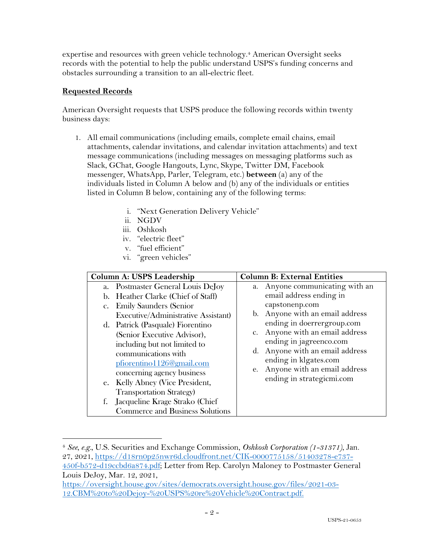expertise and resources with green vehicle technology.4 American Oversight seeks records with the potential to help the public understand USPS's funding concerns and obstacles surrounding a transition to an all-electric fleet.

## **Requested Records**

American Oversight requests that USPS produce the following records within twenty business days:

- 1. All email communications (including emails, complete email chains, email attachments, calendar invitations, and calendar invitation attachments) and text message communications (including messages on messaging platforms such as Slack, GChat, Google Hangouts, Lync, Skype, Twitter DM, Facebook messenger, WhatsApp, Parler, Telegram, etc.) **between** (a) any of the individuals listed in Column A below and (b) any of the individuals or entities listed in Column B below, containing any of the following terms:
	- i. "Next Generation Delivery Vehicle"
	- ii. NGDV
	- iii. Oshkosh
	- iv. "electric fleet"
	- v. "fuel efficient"
	- vi. "green vehicles"

| Column A: USPS Leadership                                                                                                                                                                                                                                                                                                                                                                                                                                                                 | <b>Column B: External Entities</b>                                                                                                                                                                                                                                                                                                                           |  |
|-------------------------------------------------------------------------------------------------------------------------------------------------------------------------------------------------------------------------------------------------------------------------------------------------------------------------------------------------------------------------------------------------------------------------------------------------------------------------------------------|--------------------------------------------------------------------------------------------------------------------------------------------------------------------------------------------------------------------------------------------------------------------------------------------------------------------------------------------------------------|--|
| a. Postmaster General Louis DeJoy<br>b. Heather Clarke (Chief of Staff)<br>c. Emily Saunders (Senior<br>Executive/Administrative Assistant)<br>d. Patrick (Pasquale) Fiorentino<br>(Senior Executive Advisor),<br>including but not limited to<br>communications with<br>pfiorentino1126@gmail.com<br>concerning agency business<br>e. Kelly Abney (Vice President,<br><b>Transportation Strategy</b> )<br>Jacqueline Krage Strako (Chief<br>f.<br><b>Commerce and Business Solutions</b> | a. Anyone communicating with an<br>email address ending in<br>capstonenp.com<br>b. Anyone with an email address<br>ending in doerrergroup.com<br>Anyone with an email address<br>$\mathbf{C}$ .<br>ending in jagreenco.com<br>Anyone with an email address<br>d.<br>ending in klgates.com<br>Anyone with an email address<br>е.<br>ending in strategicmi.com |  |

<sup>4</sup> *See, e.g.,* U.S. Securities and Exchange Commission, *Oshkosh Corporation (1-31371)*, Jan. 27, 2021, https://d18rn0p25nwr6d.cloudfront.net/CIK-0000775158/51403278-e737-

<sup>450</sup>f-b572-d19ccbd6a874.pdf; Letter from Rep. Carolyn Maloney to Postmaster General Louis DeJoy, Mar. 12, 2021,

https://oversight.house.gov/sites/democrats.oversight.house.gov/files/2021-03- 12.CBM%20to%20Dejoy-%20USPS%20re%20Vehicle%20Contract.pdf.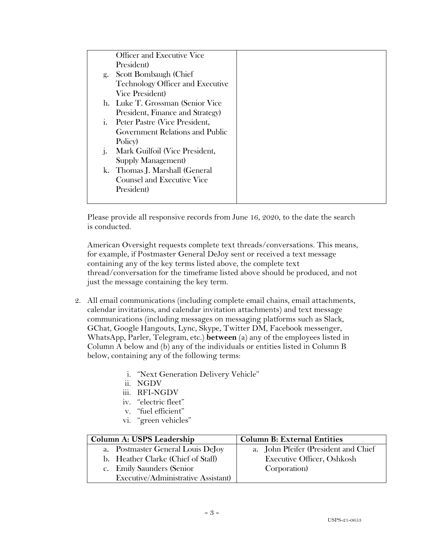|                | <b>Officer and Executive Vice</b>       |  |
|----------------|-----------------------------------------|--|
|                | President)                              |  |
| g.             | Scott Bombaugh (Chief                   |  |
|                | <b>Technology Officer and Executive</b> |  |
|                | <b>Vice President</b> )                 |  |
|                | h. Luke T. Grossman (Senior Vice        |  |
|                | President, Finance and Strategy)        |  |
| $\mathbf{1}$ . | Peter Pastre (Vice President,           |  |
|                | Government Relations and Public         |  |
|                | Policy)                                 |  |
| $\mathbf{1}$   | Mark Guilfoil (Vice President,          |  |
|                | Supply Management)                      |  |
|                | k. Thomas J. Marshall (General          |  |
|                | <b>Counsel and Executive Vice</b>       |  |
|                | President)                              |  |
|                |                                         |  |

Please provide all responsive records from June 16, 2020, to the date the search is conducted.

American Oversight requests complete text threads/conversations. This means, for example, if Postmaster General DeJoy sent or received a text message containing any of the key terms listed above, the complete text thread/conversation for the timeframe listed above should be produced, and not just the message containing the key term.

- 2. All email communications (including complete email chains, email attachments, calendar invitations, and calendar invitation attachments) and text message communications (including messages on messaging platforms such as Slack, GChat, Google Hangouts, Lync, Skype, Twitter DM, Facebook messenger, WhatsApp, Parler, Telegram, etc.) **between** (a) any of the employees listed in Column A below and (b) any of the individuals or entities listed in Column B below, containing any of the following terms:
	- i. "Next Generation Delivery Vehicle"
	- ii. NGDV
	- iii. RFI-NGDV
	- iv. "electric fleet"
	- v. "fuel efficient"
	- vi. "green vehicles"

| Column A: USPS Leadership           | <b>Column B: External Entities</b>   |  |
|-------------------------------------|--------------------------------------|--|
| a. Postmaster General Louis DeJoy   | a. John Pfeifer (President and Chief |  |
| b. Heather Clarke (Chief of Staff)  | Executive Officer, Oshkosh           |  |
| c. Emily Saunders (Senior           | Corporation)                         |  |
| Executive/Administrative Assistant) |                                      |  |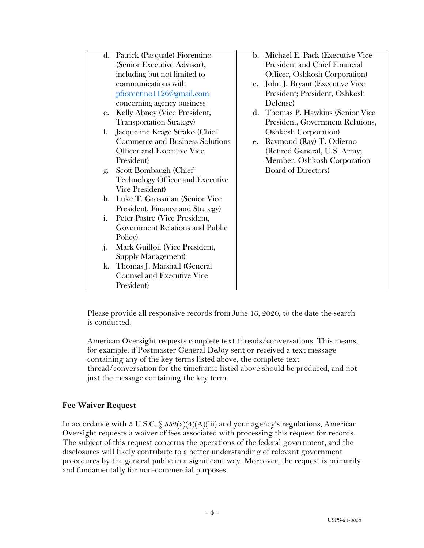|              | d. Patrick (Pasquale) Fiorentino        |    | b. Michael E. Pack (Executive Vice |
|--------------|-----------------------------------------|----|------------------------------------|
|              | (Senior Executive Advisor),             |    | President and Chief Financial      |
|              | including but not limited to            |    | Officer, Oshkosh Corporation)      |
|              | communications with                     |    | c. John J. Bryant (Executive Vice  |
|              | pfiorentino1126@gmail.com               |    | President; President, Oshkosh      |
|              | concerning agency business              |    | Defense)                           |
| e.           | Kelly Abney (Vice President,            |    | d. Thomas P. Hawkins (Senior Vice  |
|              | <b>Transportation Strategy</b> )        |    | President, Government Relations,   |
| f.           | Jacqueline Krage Strako (Chief          |    | <b>Oshkosh Corporation</b> )       |
|              | <b>Commerce and Business Solutions</b>  | e. | Raymond (Ray) T. Odierno           |
|              | <b>Officer and Executive Vice</b>       |    | (Retired General, U.S. Army;       |
|              | President)                              |    | Member, Oshkosh Corporation        |
| g.           | Scott Bombaugh (Chief                   |    | <b>Board of Directors)</b>         |
|              | <b>Technology Officer and Executive</b> |    |                                    |
|              | <b>Vice President</b> )                 |    |                                    |
|              | h. Luke T. Grossman (Senior Vice        |    |                                    |
|              | President, Finance and Strategy)        |    |                                    |
| i.           | Peter Pastre (Vice President,           |    |                                    |
|              | Government Relations and Public         |    |                                    |
|              | Policy)                                 |    |                                    |
| $\mathbf{1}$ | Mark Guilfoil (Vice President,          |    |                                    |
|              | Supply Management)                      |    |                                    |
|              | k. Thomas J. Marshall (General          |    |                                    |
|              | <b>Counsel and Executive Vice</b>       |    |                                    |
|              | President)                              |    |                                    |

Please provide all responsive records from June 16, 2020, to the date the search is conducted.

American Oversight requests complete text threads/conversations. This means, for example, if Postmaster General DeJoy sent or received a text message containing any of the key terms listed above, the complete text thread/conversation for the timeframe listed above should be produced, and not just the message containing the key term.

#### **Fee Waiver Request**

In accordance with 5 U.S.C. §  $552(a)(4)(A)(iii)$  and your agency's regulations, American Oversight requests a waiver of fees associated with processing this request for records. The subject of this request concerns the operations of the federal government, and the disclosures will likely contribute to a better understanding of relevant government procedures by the general public in a significant way. Moreover, the request is primarily and fundamentally for non-commercial purposes.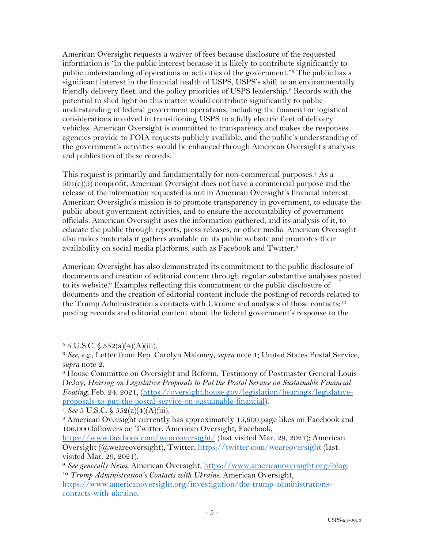American Oversight requests a waiver of fees because disclosure of the requested information is "in the public interest because it is likely to contribute significantly to public understanding of operations or activities of the government."5 The public has a significant interest in the financial health of USPS, USPS's shift to an environmentally friendly delivery fleet, and the policy priorities of USPS leadership. <sup>6</sup> Records with the potential to shed light on this matter would contribute significantly to public understanding of federal government operations, including the financial or logistical considerations involved in transitioning USPS to a fully electric fleet of delivery vehicles. American Oversight is committed to transparency and makes the responses agencies provide to FOIA requests publicly available, and the public's understanding of the government's activities would be enhanced through American Oversight's analysis and publication of these records.

This request is primarily and fundamentally for non-commercial purposes.<sup>7</sup> As a  $501(c)(3)$  nonprofit, American Oversight does not have a commercial purpose and the release of the information requested is not in American Oversight's financial interest. American Oversight's mission is to promote transparency in government, to educate the public about government activities, and to ensure the accountability of government officials. American Oversight uses the information gathered, and its analysis of it, to educate the public through reports, press releases, or other media. American Oversight also makes materials it gathers available on its public website and promotes their availability on social media platforms, such as Facebook and Twitter.8

American Oversight has also demonstrated its commitment to the public disclosure of documents and creation of editorial content through regular substantive analyses posted to its website.9 Examples reflecting this commitment to the public disclosure of documents and the creation of editorial content include the posting of records related to the Trump Administration's contacts with Ukraine and analyses of those contacts;<sup>10</sup> posting records and editorial content about the federal government's response to the

<sup>7</sup> *See* 5 U.S.C. § 552(a)(4)(A)(iii).

 $5 \text{ J.S.C. } \$ 552(a)(4)(A)(iii).$ 

<sup>6</sup> *See, e.g*., Letter from Rep. Carolyn Maloney, *supra* note 1; United States Postal Service, *supra* note 2.

<sup>&</sup>lt;sup>6</sup> House Committee on Oversight and Reform, Testimony of Postmaster General Louis DeJoy, *Hearing on Legislative Proposals to Put the Postal Service on Sustainable Financial Footing,* Feb. 24, 2021, (https://oversight.house.gov/legislation/hearings/legislativeproposals-to-put-the-postal-service-on-sustainable-financial).

<sup>8</sup> American Oversight currently has approximately 15,600 page likes on Facebook and 106,000 followers on Twitter. American Oversight, Facebook,

https://www.facebook.com/weareoversight/ (last visited Mar. 29, 2021); American Oversight (@weareoversight), Twitter, https://twitter.com/weareoversight (last visited Mar. 29, 2021).

<sup>&</sup>lt;sup>9</sup> *See generally News*, American Oversight, https://www.americanoversight.org/blog. 10 *Trump Administration's Contacts with Ukraine*, American Oversight,

https://www.americanoversight.org/investigation/the-trump-administrationscontacts-with-ukraine.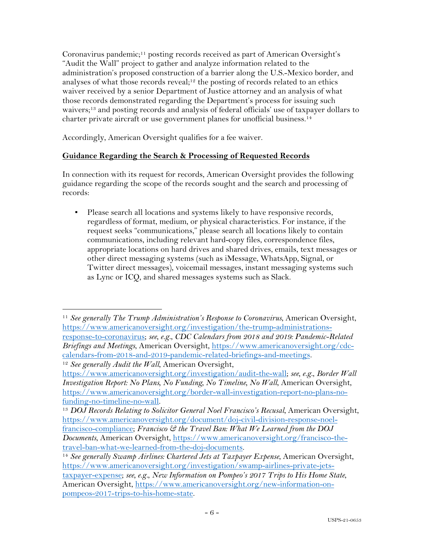Coronavirus pandemic;<sup>11</sup> posting records received as part of American Oversight's "Audit the Wall" project to gather and analyze information related to the administration's proposed construction of a barrier along the U.S.-Mexico border, and analyses of what those records reveal;<sup>12</sup> the posting of records related to an ethics waiver received by a senior Department of Justice attorney and an analysis of what those records demonstrated regarding the Department's process for issuing such waivers;<sup>13</sup> and posting records and analysis of federal officials' use of taxpayer dollars to charter private aircraft or use government planes for unofficial business. 14

Accordingly, American Oversight qualifies for a fee waiver.

# **Guidance Regarding the Search & Processing of Requested Records**

In connection with its request for records, American Oversight provides the following guidance regarding the scope of the records sought and the search and processing of records:

▪ Please search all locations and systems likely to have responsive records, regardless of format, medium, or physical characteristics. For instance, if the request seeks "communications," please search all locations likely to contain communications, including relevant hard-copy files, correspondence files, appropriate locations on hard drives and shared drives, emails, text messages or other direct messaging systems (such as iMessage, WhatsApp, Signal, or Twitter direct messages), voicemail messages, instant messaging systems such as Lync or ICQ, and shared messages systems such as Slack.

<sup>11</sup> *See generally The Trump Administration's Response to Coronavirus*, American Oversight, https://www.americanoversight.org/investigation/the-trump-administrationsresponse-to-coronavirus; *see, e.g.*, *CDC Calendars from 2018 and 2019: Pandemic-Related Briefings and Meetings*, American Oversight, https://www.americanoversight.org/cdccalendars-from-2018-and-2019-pandemic-related-briefings-and-meetings. <sup>12</sup> *See generally Audit the Wall*, American Oversight,

https://www.americanoversight.org/investigation/audit-the-wall; *see, e.g.*, *Border Wall Investigation Report: No Plans, No Funding, No Timeline, No Wall*, American Oversight, https://www.americanoversight.org/border-wall-investigation-report-no-plans-no-

<sup>&</sup>lt;sup>13</sup> *DOJ Records Relating to Solicitor General Noel Francisco's Recusal*, American Oversight, https://www.americanoversight.org/document/doj-civil-division-response-noelfrancisco-compliance; *Francisco & the Travel Ban: What We Learned from the DOJ Documents*, American Oversight, https://www.americanoversight.org/francisco-thetravel-ban-what-we-learned-from-the-doj-documents.

<sup>14</sup> *See generally Swamp Airlines: Chartered Jets at Taxpayer Expense*, American Oversight, https://www.americanoversight.org/investigation/swamp-airlines-private-jetstaxpayer-expense; *see, e.g.*, *New Information on Pompeo's 2017 Trips to His Home State*, American Oversight, https://www.americanoversight.org/new-information-onpompeos-2017-trips-to-his-home-state.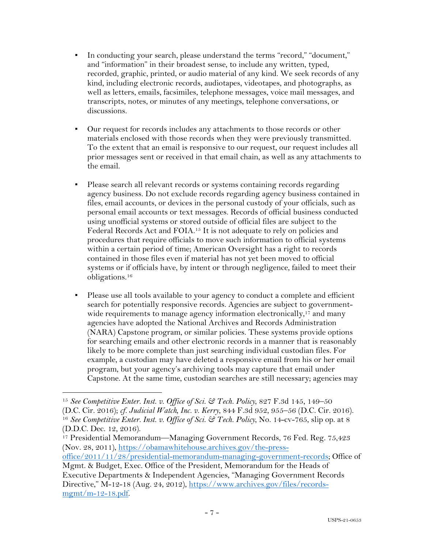- In conducting your search, please understand the terms "record," "document," and "information" in their broadest sense, to include any written, typed, recorded, graphic, printed, or audio material of any kind. We seek records of any kind, including electronic records, audiotapes, videotapes, and photographs, as well as letters, emails, facsimiles, telephone messages, voice mail messages, and transcripts, notes, or minutes of any meetings, telephone conversations, or discussions.
- Our request for records includes any attachments to those records or other materials enclosed with those records when they were previously transmitted. To the extent that an email is responsive to our request, our request includes all prior messages sent or received in that email chain, as well as any attachments to the email.
- Please search all relevant records or systems containing records regarding agency business. Do not exclude records regarding agency business contained in files, email accounts, or devices in the personal custody of your officials, such as personal email accounts or text messages. Records of official business conducted using unofficial systems or stored outside of official files are subject to the Federal Records Act and FOIA.15 It is not adequate to rely on policies and procedures that require officials to move such information to official systems within a certain period of time; American Oversight has a right to records contained in those files even if material has not yet been moved to official systems or if officials have, by intent or through negligence, failed to meet their obligations.16
- Please use all tools available to your agency to conduct a complete and efficient search for potentially responsive records. Agencies are subject to governmentwide requirements to manage agency information electronically,<sup>17</sup> and many agencies have adopted the National Archives and Records Administration (NARA) Capstone program, or similar policies. These systems provide options for searching emails and other electronic records in a manner that is reasonably likely to be more complete than just searching individual custodian files. For example, a custodian may have deleted a responsive email from his or her email program, but your agency's archiving tools may capture that email under Capstone. At the same time, custodian searches are still necessary; agencies may

<sup>15</sup> *See Competitive Enter. Inst. v. Office of Sci. & Tech. Policy*, 827 F.3d 145, 149–50 (D.C. Cir. 2016); *cf. Judicial Watch, Inc. v. Kerry*, 844 F.3d 952, 955–56 (D.C. Cir. 2016). 16 *See Competitive Enter. Inst. v. Office of Sci. & Tech. Policy*, No. 14-cv-765, slip op. at 8 (D.D.C. Dec. 12, 2016).

<sup>17</sup> Presidential Memorandum—Managing Government Records, 76 Fed. Reg. 75,423 (Nov. 28, 2011), https://obamawhitehouse.archives.gov/the-press-

office/2011/11/28/presidential-memorandum-managing-government-records; Office of Mgmt. & Budget, Exec. Office of the President, Memorandum for the Heads of

Executive Departments & Independent Agencies, "Managing Government Records Directive," M-12-18 (Aug. 24, 2012), https://www.archives.gov/files/records $m$ gmt/m-12-18.pdf.